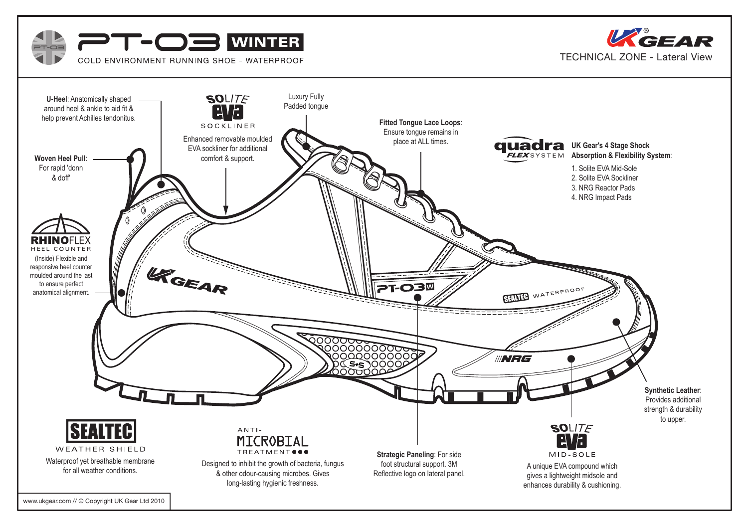



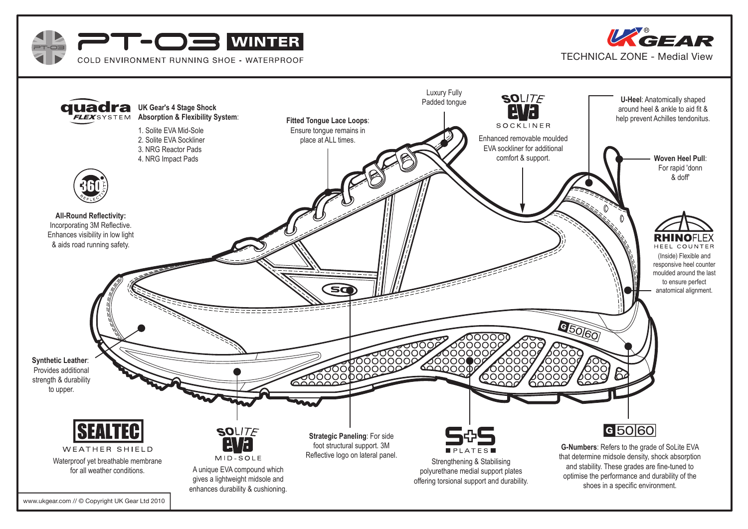